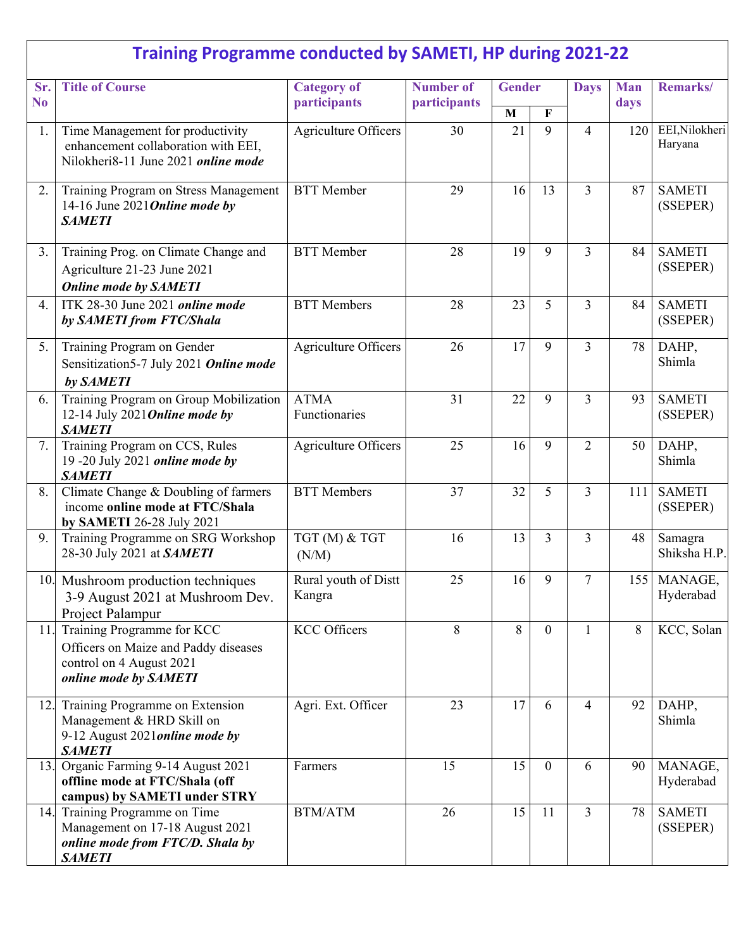|                       | <b>Training Programme conducted by SAMETI, HP during 2021-22</b>                                                        |                                    |                                  |                    |                |                |                    |                           |
|-----------------------|-------------------------------------------------------------------------------------------------------------------------|------------------------------------|----------------------------------|--------------------|----------------|----------------|--------------------|---------------------------|
| Sr.<br>N <sub>o</sub> | <b>Title of Course</b>                                                                                                  | <b>Category of</b><br>participants | <b>Number of</b><br>participants | <b>Gender</b>      |                | <b>Days</b>    | <b>Man</b><br>days | Remarks/                  |
| 1.                    | Time Management for productivity<br>enhancement collaboration with EEI,<br>Nilokheri8-11 June 2021 online mode          | <b>Agriculture Officers</b>        | 30                               | $\mathbf{M}$<br>21 | F<br>9         | $\overline{4}$ | 120                | EEI, Nilokheri<br>Haryana |
| 2.                    | Training Program on Stress Management<br>14-16 June 2021 Online mode by<br><b>SAMETI</b>                                | <b>BTT</b> Member                  | 29                               | 16                 | 13             | $\overline{3}$ | 87                 | <b>SAMETI</b><br>(SSEPER) |
| 3.                    | Training Prog. on Climate Change and<br>Agriculture 21-23 June 2021<br><b>Online mode by SAMETI</b>                     | <b>BTT</b> Member                  | 28                               | 19                 | 9              | $\overline{3}$ | 84                 | <b>SAMETI</b><br>(SSEPER) |
| 4.                    | ITK 28-30 June 2021 online mode<br>by SAMETI from FTC/Shala                                                             | <b>BTT</b> Members                 | 28                               | 23                 | 5              | $\overline{3}$ | 84                 | <b>SAMETI</b><br>(SSEPER) |
| 5.                    | Training Program on Gender<br>Sensitization5-7 July 2021 Online mode<br>by SAMETI                                       | Agriculture Officers               | 26                               | 17                 | 9              | $\overline{3}$ | 78                 | DAHP,<br>Shimla           |
| 6.                    | Training Program on Group Mobilization<br>12-14 July 2021 Online mode by<br><b>SAMETI</b>                               | <b>ATMA</b><br>Functionaries       | 31                               | 22                 | 9              | $\overline{3}$ | 93                 | <b>SAMETI</b><br>(SSEPER) |
| 7.                    | Training Program on CCS, Rules<br>19 -20 July 2021 online mode by<br><b>SAMETI</b>                                      | Agriculture Officers               | 25                               | 16                 | 9              | $\overline{2}$ | 50                 | DAHP,<br>Shimla           |
| 8.                    | Climate Change & Doubling of farmers<br>income online mode at FTC/Shala<br>by SAMETI 26-28 July 2021                    | <b>BTT</b> Members                 | 37                               | 32                 | 5              | $\overline{3}$ | 111                | <b>SAMETI</b><br>(SSEPER) |
| 9.                    | Training Programme on SRG Workshop<br>28-30 July 2021 at SAMETI                                                         | TGT (M) & TGT<br>(N/M)             | 16                               | 13                 | $\overline{3}$ | $\overline{3}$ | 48                 | Samagra<br>Shiksha H.P.   |
|                       | 10. Mushroom production techniques<br>3-9 August 2021 at Mushroom Dev.<br>Project Palampur                              | Rural youth of Distt<br>Kangra     | 25                               | 16                 | 9              | $\overline{7}$ |                    | 155 MANAGE,<br>Hyderabad  |
| 11.                   | Training Programme for KCC<br>Officers on Maize and Paddy diseases<br>control on 4 August 2021<br>online mode by SAMETI | <b>KCC Officers</b>                | 8                                | 8                  | $\theta$       | $\mathbf{1}$   | 8                  | KCC, Solan                |
| 12.                   | Training Programme on Extension<br>Management & HRD Skill on<br>9-12 August 2021 online mode by<br><b>SAMETI</b>        | Agri. Ext. Officer                 | 23                               | 17                 | 6              | $\overline{4}$ | 92                 | DAHP,<br>Shimla           |
| 13.                   | Organic Farming 9-14 August 2021<br>offline mode at FTC/Shala (off<br>campus) by SAMETI under STRY                      | Farmers                            | 15                               | 15                 | $\mathbf{0}$   | 6              | 90                 | MANAGE,<br>Hyderabad      |
| 14.                   | Training Programme on Time<br>Management on 17-18 August 2021<br>online mode from FTC/D. Shala by<br><b>SAMETI</b>      | <b>BTM/ATM</b>                     | 26                               | 15                 | 11             | $\overline{3}$ | 78                 | <b>SAMETI</b><br>(SSEPER) |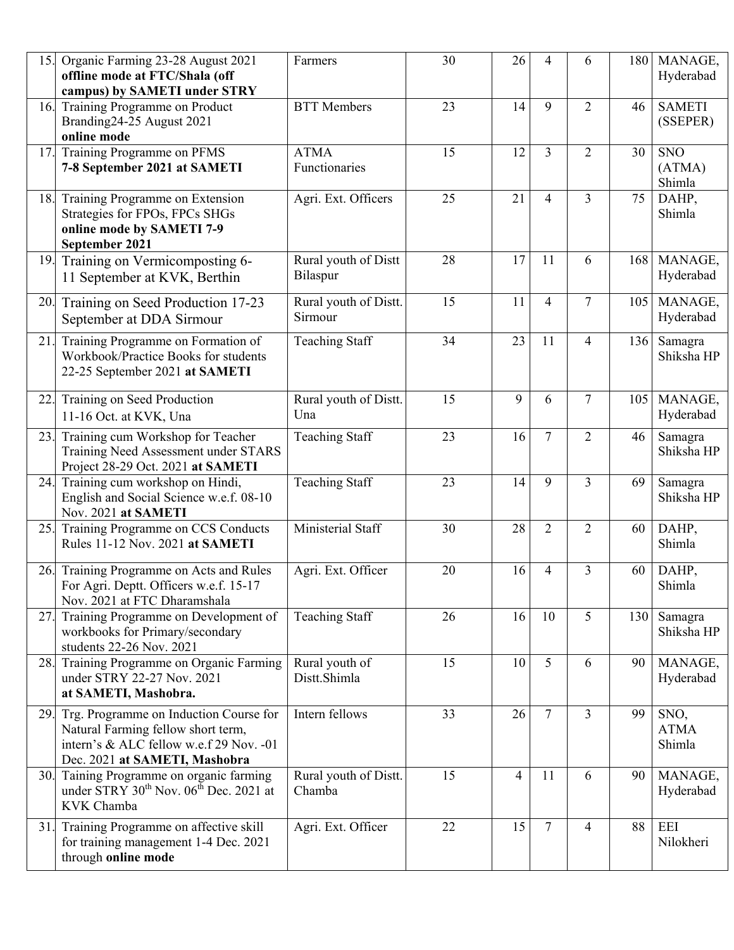| 15. | Organic Farming 23-28 August 2021<br>offline mode at FTC/Shala (off<br>campus) by SAMETI under STRY                                                      | Farmers                          | 30 | 26 | 4              | 6              |     | 180 MANAGE,<br>Hyderabad       |
|-----|----------------------------------------------------------------------------------------------------------------------------------------------------------|----------------------------------|----|----|----------------|----------------|-----|--------------------------------|
| 16. | Training Programme on Product<br>Branding24-25 August 2021<br>online mode                                                                                | <b>BTT</b> Members               | 23 | 14 | 9              | $\overline{2}$ | 46  | <b>SAMETI</b><br>(SSEPER)      |
| 17. | Training Programme on PFMS<br>7-8 September 2021 at SAMETI                                                                                               | <b>ATMA</b><br>Functionaries     | 15 | 12 | $\overline{3}$ | $\overline{2}$ | 30  | <b>SNO</b><br>(ATMA)<br>Shimla |
| 18. | Training Programme on Extension<br>Strategies for FPOs, FPCs SHGs<br>online mode by SAMETI 7-9<br>September 2021                                         | Agri. Ext. Officers              | 25 | 21 | $\overline{4}$ | $\overline{3}$ | 75  | DAHP,<br>Shimla                |
| 19. | Training on Vermicomposting 6-<br>11 September at KVK, Berthin                                                                                           | Rural youth of Distt<br>Bilaspur | 28 | 17 | 11             | 6              |     | 168 MANAGE,<br>Hyderabad       |
| 20. | Training on Seed Production 17-23<br>September at DDA Sirmour                                                                                            | Rural youth of Distt.<br>Sirmour | 15 | 11 | $\overline{4}$ | $\overline{7}$ | 105 | MANAGE,<br>Hyderabad           |
| 21. | Training Programme on Formation of<br>Workbook/Practice Books for students<br>22-25 September 2021 at SAMETI                                             | <b>Teaching Staff</b>            | 34 | 23 | 11             | $\overline{4}$ | 136 | Samagra<br>Shiksha HP          |
| 22. | Training on Seed Production<br>11-16 Oct. at KVK, Una                                                                                                    | Rural youth of Distt.<br>Una     | 15 | 9  | 6              | $\overline{7}$ | 105 | MANAGE,<br>Hyderabad           |
| 23. | Training cum Workshop for Teacher<br>Training Need Assessment under STARS<br>Project 28-29 Oct. 2021 at SAMETI                                           | <b>Teaching Staff</b>            | 23 | 16 | $\overline{7}$ | $\overline{2}$ | 46  | Samagra<br>Shiksha HP          |
| 24. | Training cum workshop on Hindi,<br>English and Social Science w.e.f. 08-10<br>Nov. 2021 at SAMETI                                                        | <b>Teaching Staff</b>            | 23 | 14 | 9              | $\overline{3}$ | 69  | Samagra<br>Shiksha HP          |
| 25. | Training Programme on CCS Conducts<br>Rules 11-12 Nov. 2021 at SAMETI                                                                                    | Ministerial Staff                | 30 | 28 | $\overline{2}$ | $\overline{2}$ | 60  | DAHP,<br>Shimla                |
| 26. | Training Programme on Acts and Rules<br>For Agri. Deptt. Officers w.e.f. 15-17<br>Nov. 2021 at FTC Dharamshala                                           | Agri. Ext. Officer               | 20 | 16 | 4              | 3              | 60  | DAHP,<br>Shimla                |
| 27. | Training Programme on Development of<br>workbooks for Primary/secondary<br>students 22-26 Nov. 2021                                                      | <b>Teaching Staff</b>            | 26 | 16 | 10             | 5              | 130 | Samagra<br>Shiksha HP          |
| 28. | Training Programme on Organic Farming<br>under STRY 22-27 Nov. 2021<br>at SAMETI, Mashobra.                                                              | Rural youth of<br>Distt.Shimla   | 15 | 10 | 5              | 6              | 90  | MANAGE,<br>Hyderabad           |
| 29. | Trg. Programme on Induction Course for<br>Natural Farming fellow short term,<br>intern's & ALC fellow w.e.f 29 Nov. -01<br>Dec. 2021 at SAMETI, Mashobra | Intern fellows                   | 33 | 26 | $\tau$         | $\overline{3}$ | 99  | SNO,<br><b>ATMA</b><br>Shimla  |
| 30. | Taining Programme on organic farming<br>under STRY 30 <sup>th</sup> Nov. 06 <sup>th</sup> Dec. 2021 at<br>KVK Chamba                                     | Rural youth of Distt.<br>Chamba  | 15 | 4  | 11             | 6              | 90  | MANAGE,<br>Hyderabad           |
| 31. | Training Programme on affective skill<br>for training management 1-4 Dec. 2021<br>through online mode                                                    | Agri. Ext. Officer               | 22 | 15 | $\overline{7}$ | $\overline{4}$ | 88  | EEI<br>Nilokheri               |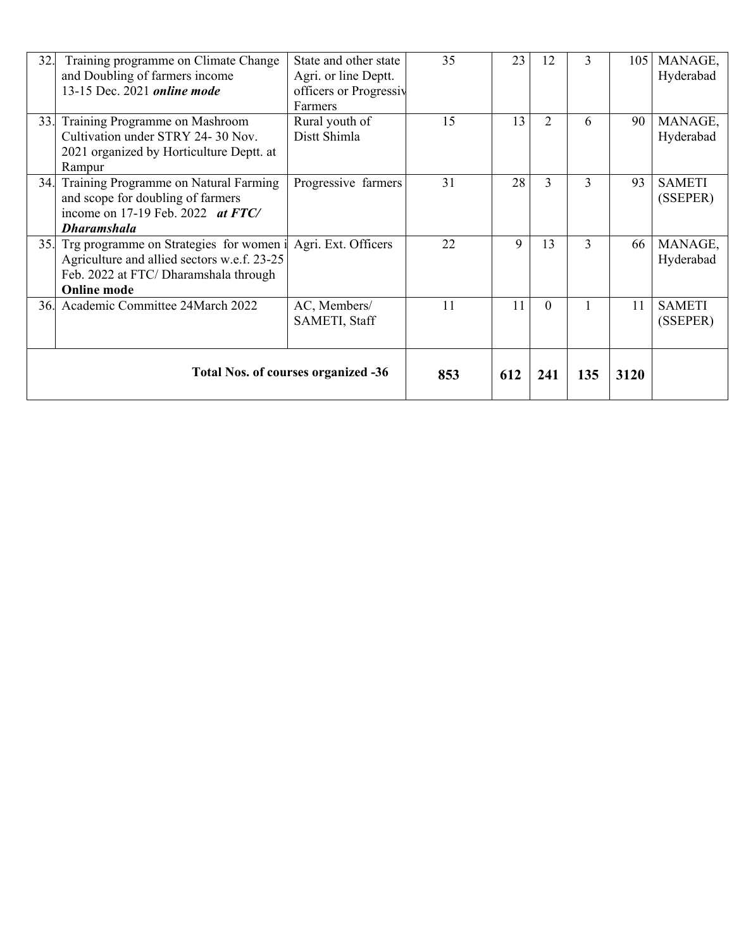| 32. | Training programme on Climate Change<br>and Doubling of farmers income<br>13-15 Dec. 2021 <i>online mode</i>                                                             | State and other state<br>Agri. or line Deptt.<br>officers or Progressiv<br>Farmers | 35  | 23  | 12             | 3   | 105  | MANAGE,<br>Hyderabad      |
|-----|--------------------------------------------------------------------------------------------------------------------------------------------------------------------------|------------------------------------------------------------------------------------|-----|-----|----------------|-----|------|---------------------------|
| 33. | Training Programme on Mashroom<br>Cultivation under STRY 24-30 Nov.<br>2021 organized by Horticulture Deptt. at<br>Rampur                                                | Rural youth of<br>Distt Shimla                                                     | 15  | 13  | $\overline{2}$ | 6   | 90   | MANAGE,<br>Hyderabad      |
| 34. | Training Programme on Natural Farming<br>and scope for doubling of farmers<br>income on 17-19 Feb. 2022 at $FTC/$<br><b>Dharamshala</b>                                  | Progressive farmers                                                                | 31  | 28  | $\mathcal{E}$  | 3   | 93   | <b>SAMETI</b><br>(SSEPER) |
| 35. | Trg programme on Strategies for women i Agri. Ext. Officers<br>Agriculture and allied sectors w.e.f. 23-25<br>Feb. 2022 at FTC/Dharamshala through<br><b>Online mode</b> |                                                                                    | 22  | 9   | 13             | 3   | 66   | MANAGE,<br>Hyderabad      |
| 36. | Academic Committee 24March 2022                                                                                                                                          | AC, Members/<br>SAMETI, Staff                                                      | 11  | 11  | $\Omega$       |     | 11   | <b>SAMETI</b><br>(SSEPER) |
|     |                                                                                                                                                                          | <b>Total Nos. of courses organized -36</b>                                         | 853 | 612 | 241            | 135 | 3120 |                           |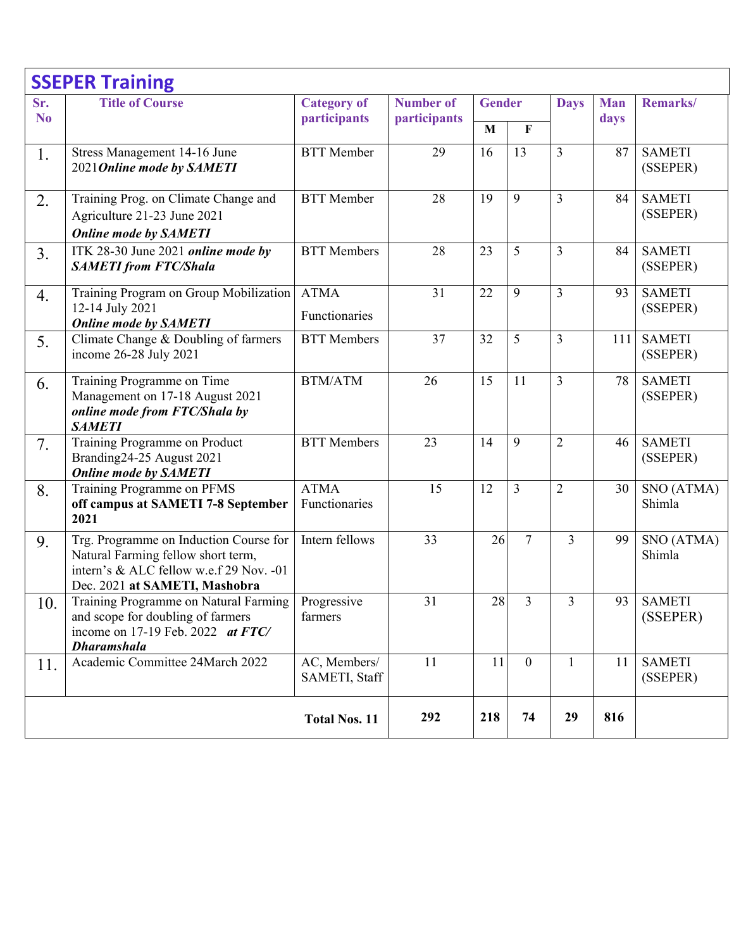|                       | <b>SSEPER Training</b>                                                                                                                                   |                                    |                                  |                               |                |                |                    |                           |
|-----------------------|----------------------------------------------------------------------------------------------------------------------------------------------------------|------------------------------------|----------------------------------|-------------------------------|----------------|----------------|--------------------|---------------------------|
| Sr.<br>N <sub>0</sub> | <b>Title of Course</b>                                                                                                                                   | <b>Category of</b><br>participants | <b>Number of</b><br>participants | <b>Gender</b><br>$\mathbf{M}$ | F              | <b>Days</b>    | <b>Man</b><br>days | Remarks/                  |
| 1.                    | Stress Management 14-16 June<br>2021 Online mode by SAMETI                                                                                               | <b>BTT</b> Member                  | 29                               | 16                            | 13             | $\overline{3}$ | 87                 | <b>SAMETI</b><br>(SSEPER) |
| 2.                    | Training Prog. on Climate Change and<br>Agriculture 21-23 June 2021<br><b>Online mode by SAMETI</b>                                                      | <b>BTT</b> Member                  | 28                               | 19                            | 9              | $\overline{3}$ | 84                 | <b>SAMETI</b><br>(SSEPER) |
| 3.                    | ITK 28-30 June 2021 online mode by<br><b>SAMETI</b> from FTC/Shala                                                                                       | <b>BTT</b> Members                 | 28                               | 23                            | 5              | 3              | 84                 | <b>SAMETI</b><br>(SSEPER) |
| 4.                    | Training Program on Group Mobilization<br>12-14 July 2021<br><b>Online mode by SAMETI</b>                                                                | <b>ATMA</b><br>Functionaries       | 31                               | 22                            | 9              | 3              | 93                 | <b>SAMETI</b><br>(SSEPER) |
| 5.                    | Climate Change & Doubling of farmers<br>income 26-28 July 2021                                                                                           | <b>BTT</b> Members                 | 37                               | 32                            | 5              | $\overline{3}$ | 111                | <b>SAMETI</b><br>(SSEPER) |
| 6.                    | Training Programme on Time<br>Management on 17-18 August 2021<br>online mode from FTC/Shala by<br><b>SAMETI</b>                                          | <b>BTM/ATM</b>                     | 26                               | 15                            | 11             | $\overline{3}$ | 78                 | <b>SAMETI</b><br>(SSEPER) |
| 7.                    | Training Programme on Product<br>Branding24-25 August 2021<br><b>Online mode by SAMETI</b>                                                               | <b>BTT</b> Members                 | 23                               | 14                            | 9              | $\overline{2}$ | 46                 | <b>SAMETI</b><br>(SSEPER) |
| 8.                    | Training Programme on PFMS<br>off campus at SAMETI 7-8 September<br>2021                                                                                 | <b>ATMA</b><br>Functionaries       | 15                               | 12                            | 3              | $\overline{2}$ | 30                 | SNO (ATMA)<br>Shimla      |
| 9.                    | Trg. Programme on Induction Course for<br>Natural Farming fellow short term,<br>intern's & ALC fellow w.e.f 29 Nov. -01<br>Dec. 2021 at SAMETI, Mashobra | Intern fellows                     | 33                               | 26                            | $\overline{7}$ | $\overline{3}$ | 99                 | SNO (ATMA)<br>Shimla      |
| 10.                   | Training Programme on Natural Farming<br>and scope for doubling of farmers<br>income on 17-19 Feb. 2022 $at$ FTC/<br><b>Dharamshala</b>                  | Progressive<br>farmers             | 31                               | 28                            | 3              | 3              | 93                 | <b>SAMETI</b><br>(SSEPER) |
| 11.                   | Academic Committee 24March 2022                                                                                                                          | AC, Members/<br>SAMETI, Staff      | 11                               | 11                            | $\mathbf{0}$   | $\mathbf{1}$   | 11                 | <b>SAMETI</b><br>(SSEPER) |
|                       |                                                                                                                                                          | <b>Total Nos. 11</b>               | 292                              | 218                           | 74             | 29             | 816                |                           |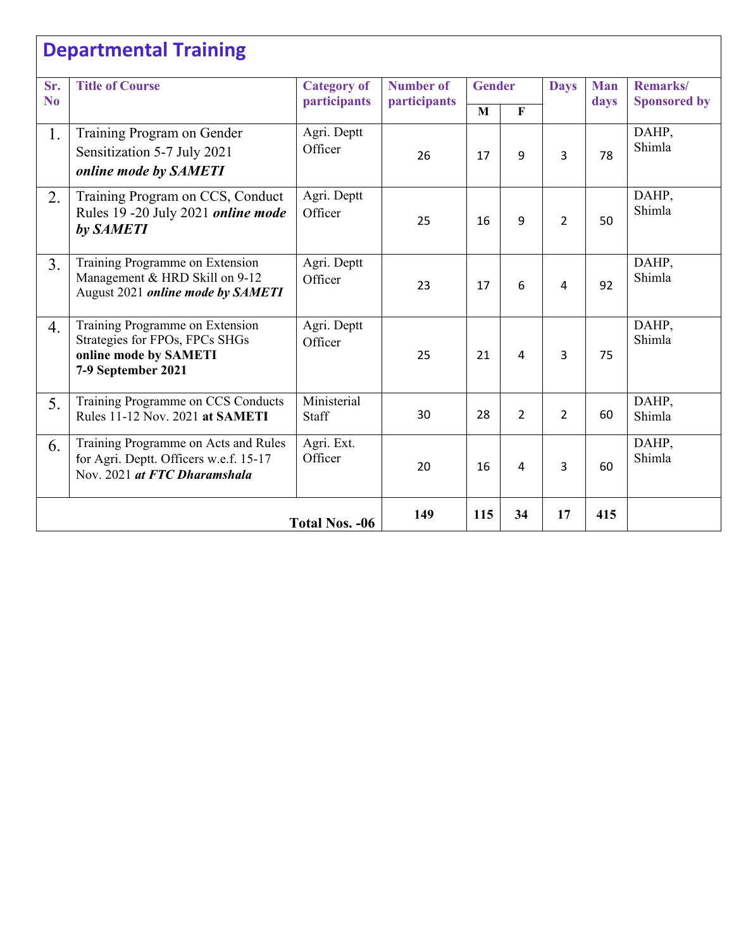## **Departmental Training**

| Sr.<br>N <sub>0</sub> | <b>Title of Course</b>                                                                                           | <b>Category of</b><br>participants | <b>Number of</b><br>participants | <b>Gender</b> |                | <b>Days</b>    | <b>Man</b><br>days | Remarks/<br><b>Sponsored by</b> |
|-----------------------|------------------------------------------------------------------------------------------------------------------|------------------------------------|----------------------------------|---------------|----------------|----------------|--------------------|---------------------------------|
|                       |                                                                                                                  |                                    |                                  | M             | $\mathbf F$    |                |                    |                                 |
| 1.                    | Training Program on Gender<br>Sensitization 5-7 July 2021<br>online mode by SAMETI                               | Agri. Deptt<br>Officer             | 26                               | 17            | 9              | 3              | 78                 | DAHP,<br>Shimla                 |
| 2.                    | Training Program on CCS, Conduct<br>Rules 19 -20 July 2021 online mode<br>by SAMETI                              | Agri. Deptt<br>Officer             | 25                               | 16            | 9              | $\overline{2}$ | 50                 | DAHP,<br>Shimla                 |
| 3.                    | Training Programme on Extension<br>Management & HRD Skill on 9-12<br>August 2021 online mode by SAMETI           | Agri. Deptt<br>Officer             | 23                               | 17            | 6              | 4              | 92                 | DAHP,<br>Shimla                 |
| 4.                    | Training Programme on Extension<br>Strategies for FPOs, FPCs SHGs<br>online mode by SAMETI<br>7-9 September 2021 | Agri. Deptt<br>Officer             | 25                               | 21            | 4              | 3              | 75                 | DAHP,<br>Shimla                 |
| 5.                    | Training Programme on CCS Conducts<br>Rules 11-12 Nov. 2021 at SAMETI                                            | Ministerial<br>Staff               | 30                               | 28            | $\overline{2}$ | $\overline{2}$ | 60                 | DAHP,<br>Shimla                 |
| 6.                    | Training Programme on Acts and Rules<br>for Agri. Deptt. Officers w.e.f. 15-17<br>Nov. 2021 at FTC Dharamshala   | Agri. Ext.<br>Officer              | 20                               | 16            | 4              | 3              | 60                 | DAHP,<br>Shimla                 |
|                       | <b>Total Nos. -06</b>                                                                                            | 149                                | 115                              | 34            | 17             | 415            |                    |                                 |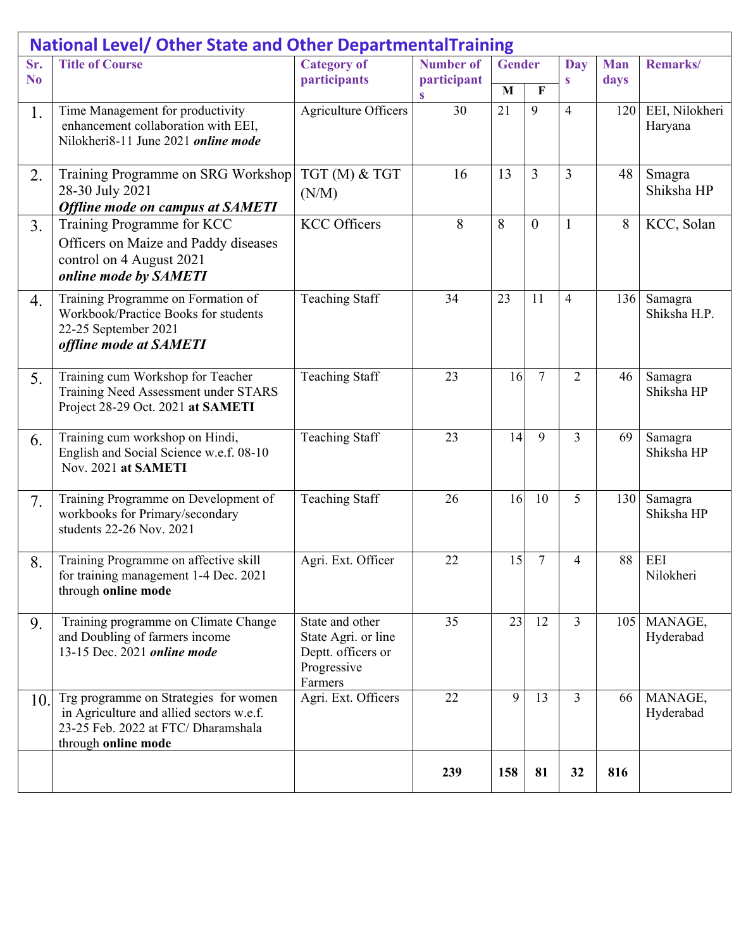|                | <b>National Level/ Other State and Other DepartmentalTraining</b>                                                                              |                                                                                        |                  |               |                  |                |            |                           |
|----------------|------------------------------------------------------------------------------------------------------------------------------------------------|----------------------------------------------------------------------------------------|------------------|---------------|------------------|----------------|------------|---------------------------|
| Sr.            | <b>Title of Course</b>                                                                                                                         | <b>Category of</b>                                                                     | <b>Number of</b> | <b>Gender</b> |                  | <b>Day</b>     | <b>Man</b> | Remarks/                  |
| N <sub>0</sub> |                                                                                                                                                | participants                                                                           | participant<br>S | $\mathbf{M}$  | F                | $\mathbf{s}$   | days       |                           |
| 1.             | Time Management for productivity<br>enhancement collaboration with EEI,<br>Nilokheri8-11 June 2021 online mode                                 | Agriculture Officers                                                                   | 30               | 21            | 9                | $\overline{4}$ | 120        | EEI, Nilokheri<br>Haryana |
| 2.             | Training Programme on SRG Workshop<br>28-30 July 2021<br><b>Offline mode on campus at SAMETI</b>                                               | TGT (M) & TGT<br>(N/M)                                                                 | 16               | 13            | 3                | $\overline{3}$ | 48         | Smagra<br>Shiksha HP      |
| 3.             | Training Programme for KCC<br>Officers on Maize and Paddy diseases<br>control on 4 August 2021<br>online mode by SAMETI                        | <b>KCC Officers</b>                                                                    | 8                | 8             | $\boldsymbol{0}$ | $\mathbf{1}$   | 8          | KCC, Solan                |
| 4.             | Training Programme on Formation of<br>Workbook/Practice Books for students<br>22-25 September 2021<br>offline mode at SAMETI                   | <b>Teaching Staff</b>                                                                  | 34               | 23            | 11               | $\overline{4}$ | 136        | Samagra<br>Shiksha H.P.   |
| 5.             | Training cum Workshop for Teacher<br>Training Need Assessment under STARS<br>Project 28-29 Oct. 2021 at SAMETI                                 | <b>Teaching Staff</b>                                                                  | 23               | 16            | $\overline{7}$   | $\overline{2}$ | 46         | Samagra<br>Shiksha HP     |
| 6.             | Training cum workshop on Hindi,<br>English and Social Science w.e.f. 08-10<br>Nov. 2021 at SAMETI                                              | <b>Teaching Staff</b>                                                                  | 23               | 14            | 9                | 3              | 69         | Samagra<br>Shiksha HP     |
| 7.             | Training Programme on Development of<br>workbooks for Primary/secondary<br>students 22-26 Nov. 2021                                            | <b>Teaching Staff</b>                                                                  | 26               | 16            | 10               | 5              | 130        | Samagra<br>Shiksha HP     |
| 8.             | Training Programme on affective skill<br>for training management 1-4 Dec. 2021<br>through online mode                                          | Agri. Ext. Officer                                                                     | 22               | 15            | $\tau$           | 4              | 88         | <b>EEI</b><br>Nilokheri   |
| 9.             | Training programme on Climate Change<br>and Doubling of farmers income<br>13-15 Dec. 2021 online mode                                          | State and other<br>State Agri. or line<br>Deptt. officers or<br>Progressive<br>Farmers | 35               | 23            | 12               | $\overline{3}$ | 105        | MANAGE,<br>Hyderabad      |
| 10.            | Trg programme on Strategies for women<br>in Agriculture and allied sectors w.e.f.<br>23-25 Feb. 2022 at FTC/Dharamshala<br>through online mode | Agri. Ext. Officers                                                                    | 22               | 9             | 13               | $\overline{3}$ | 66         | MANAGE,<br>Hyderabad      |
|                |                                                                                                                                                |                                                                                        | 239              | 158           | 81               | 32             | 816        |                           |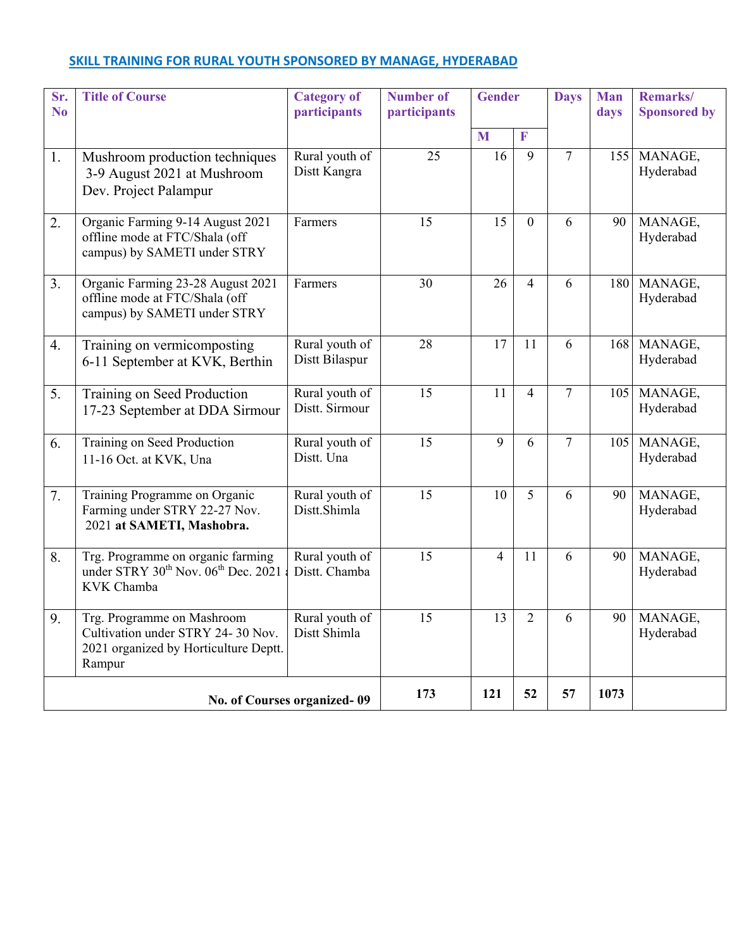## **SKILL TRAINING FOR RURAL YOUTH SPONSORED BY MANAGE, HYDERABAD**

| Sr.<br>No | <b>Title of Course</b>                                                                                             | <b>Category of</b><br>participants | <b>Number of</b><br>participants | <b>Gender</b>  |                | <b>Days</b>    |     | Remarks/<br><b>Sponsored by</b> |
|-----------|--------------------------------------------------------------------------------------------------------------------|------------------------------------|----------------------------------|----------------|----------------|----------------|-----|---------------------------------|
|           |                                                                                                                    |                                    |                                  | M              | F              |                |     |                                 |
| 1.        | Mushroom production techniques<br>3-9 August 2021 at Mushroom<br>Dev. Project Palampur                             | Rural youth of<br>Distt Kangra     | 25                               | 16             | 9              | $\overline{7}$ | 155 | MANAGE,<br>Hyderabad            |
| 2.        | Organic Farming 9-14 August 2021<br>offline mode at FTC/Shala (off<br>campus) by SAMETI under STRY                 | Farmers                            | 15                               | 15             | $\mathbf{0}$   | 6              | 90  | MANAGE,<br>Hyderabad            |
| 3.        | Organic Farming 23-28 August 2021<br>offline mode at FTC/Shala (off<br>campus) by SAMETI under STRY                | Farmers                            | 30                               | 26             | $\overline{4}$ | 6              | 180 | MANAGE,<br>Hyderabad            |
| 4.        | Training on vermicomposting<br>6-11 September at KVK, Berthin                                                      | Rural youth of<br>Distt Bilaspur   | 28                               | 17             | 11             | 6              | 168 | MANAGE,<br>Hyderabad            |
| 5.        | Training on Seed Production<br>17-23 September at DDA Sirmour                                                      | Rural youth of<br>Distt. Sirmour   | 15                               | 11             | $\overline{4}$ | $\overline{7}$ | 105 | MANAGE,<br>Hyderabad            |
| 6.        | Training on Seed Production<br>11-16 Oct. at KVK, Una                                                              | Rural youth of<br>Distt. Una       | $\overline{15}$                  | $\overline{9}$ | 6              | $\overline{7}$ | 105 | MANAGE,<br>Hyderabad            |
| 7.        | Training Programme on Organic<br>Farming under STRY 22-27 Nov.<br>2021 at SAMETI, Mashobra.                        | Rural youth of<br>Distt.Shimla     | 15                               | 10             | 5              | 6              | 90  | MANAGE,<br>Hyderabad            |
| 8.        | Trg. Programme on organic farming<br>under STRY 30 <sup>th</sup> Nov. 06 <sup>th</sup> Dec. 2021<br>KVK Chamba     | Rural youth of<br>Distt. Chamba    | 15                               | $\overline{4}$ | 11             | 6              | 90  | MANAGE,<br>Hyderabad            |
| 9.        | Trg. Programme on Mashroom<br>Cultivation under STRY 24-30 Nov.<br>2021 organized by Horticulture Deptt.<br>Rampur | Rural youth of<br>Distt Shimla     | 15                               | 13             | $\overline{2}$ | 6              | 90  | MANAGE,<br>Hyderabad            |
|           | No. of Courses organized-09                                                                                        | 173                                | 121                              | 52             | 57             | 1073           |     |                                 |